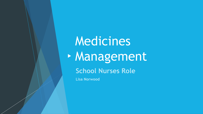# Medicines Management

### **School Nurses Role**

**Lisa Norwood**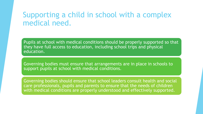# Supporting a child in school with a complex medical need.

Pupils at school with medical conditions should be properly supported so that they have full access to education, including school trips and physical education.

Governing bodies must ensure that arrangements are in place in schools to support pupils at school with medical conditions.

Governing bodies should ensure that school leaders consult health and social care professionals, pupils and parents to ensure that the needs of children with medical conditions are properly understood and effectively supported.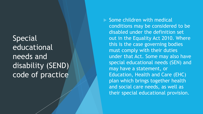**Special** educational needs and disability (SEND) code of practice

 Some children with medical conditions may be considered to be disabled under the definition set out in the Equality Act 2010. Where this is the case governing bodies must comply with their duties under that Act. Some may also have special educational needs (SEN) and may have a statement, or Education, Health and Care (EHC) plan which brings together health and social care needs, as well as their special educational provision.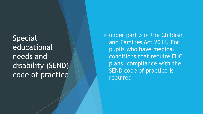**Special** educational needs and disability (SEND) code of practice

 under part 3 of the Children and Families Act 2014. For pupils who have medical conditions that require EHC plans, compliance with the SEND code of practice is required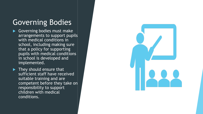# Governing Bodies

- Governing bodies must make arrangements to support pupils with medical conditions in school, including making sure that a policy for supporting pupils with medical conditions in school is developed and implemented.
- $\blacktriangleright$  They should ensure that sufficient staff have received suitable training and are competent before they take on responsibility to support children with medical conditions.

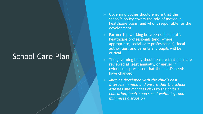### School Care Plan

- Governing bodies should ensure that the school's policy covers the role of individual healthcare plans, and who is responsible for the development
- $\triangleright$  Partnership working between school staff, healthcare professionals (and, where appropriate, social care professionals), local authorities, and parents and pupils will be critical.
	- The governing body should ensure that plans are reviewed at least annually, or earlier if evidence is presented that the child's needs have changed.
	- *Must be developed with the child's best interests in mind and ensure that the school assesses and manages risks to the child's education, health and social wellbeing, and minimises disruption*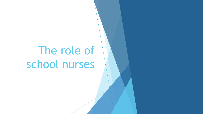# The role of school nurses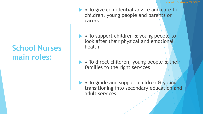# **School Nurses main roles:**

- To give confidential advice and care to children, young people and parents or carers
- To support children & young people to look after their physical and emotional health
- To direct children, young people & their families to the right services
- To guide and support children & young transitioning into secondary education and adult services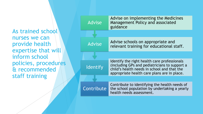As trained school nurses we can provide health expertise that will inform school policies, procedures & recommended staff training

| <b>Advise</b> | Advise on implementing the Medicines<br><b>Management Policy and associated</b><br>guidance                                                                                                 |
|---------------|---------------------------------------------------------------------------------------------------------------------------------------------------------------------------------------------|
|               |                                                                                                                                                                                             |
| <b>Advise</b> | Advise schools on appropriate and<br>relevant training for educational staff.                                                                                                               |
|               |                                                                                                                                                                                             |
| Identify      | Identify the right health care professionals<br>(including GPs and pediatricians to support a<br>child's health needs in school and that the<br>appropriate health care plans are in place. |
|               |                                                                                                                                                                                             |
| Contribute    | Contribute to identifying the health needs of<br>the school population by undertaking a yearly<br>health needs assessment.                                                                  |
|               |                                                                                                                                                                                             |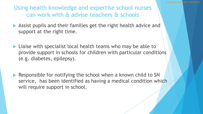Using health knowledge and expertise school nurses can work with & advise teachers & schools

- Assist pupils and their families get the right health advice and support at the right time.
- ▶ Liaise with specialist local health teams who may be able to provide support in schools for children with particular conditions (e.g. diabetes, epilepsy).
- Responsible for notifying the school when a known child to SN service, has been identified as having a medical condition which will require support in school.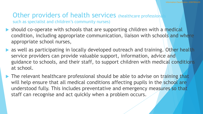#### Other providers of health services (healthcare professional such as specialist and children's community nurses)

- should co-operate with schools that are supporting children with a medical condition, including appropriate communication, liaison with schools and where appropriate school nurses,
- **Alleq as well as participating in locally developed outreach and training. Other health** service providers can provide valuable support, information, advice and guidance to schools, and their staff, to support children with medical conditions at school.
- The relevant healthcare professional should be able to advise on training that will help ensure that all medical conditions affecting pupils in the school are understood fully. This includes preventative and emergency measures so that staff can recognise and act quickly when a problem occurs.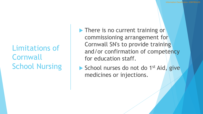Limitations of **Cornwall** School Nursing **There is no current training or** commissioning arrangement for Cornwall SN's to provide training and/or confirmation of competency for education staff.

School nurses do not do 1<sup>st</sup> Aid, give medicines or injections.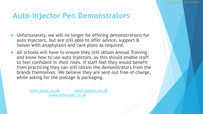# **Auto-Injector Pen Demonstrators**

- ▶ Unfortunately, we will no longer be offering demonstrations for auto injectors, but are still able to offer advice, support & liaison with anaphylaxis and care plans as required.
- All schools will have to ensure they still obtain Annual Training and know how to use auto injectors, so this should enable staff to feel confident in their roles. If staff feel they would benefit from practicing they can still obtain the demonstrators from the brands themselves. We believe they are sent out free of charge, while asking for the postage & packaging.

[www.jexts.co.uk](http://www.jexts.co.uk/) [www.epipen.co.uk](https://eur03.safelinks.protection.outlook.com/?url=http://www.epipen.co.uk/&data=02|01|Debbie.Esien@cornwall.gov.uk|a252647066d649e45c4208d811ff4834|efaa16aad1de4d58ba2e2833fdfdd29f|0|0|637279135422351365&sdata=Z7r4OFemPdWfrF/4d/H8AVWX6DAAK0UchCtZbPpy5A4%3D&reserved=0) [www.emerade.co.uk](https://eur03.safelinks.protection.outlook.com/?url=http://www.emerade.co.uk/&data=02|01|Debbie.Esien@cornwall.gov.uk|a252647066d649e45c4208d811ff4834|efaa16aad1de4d58ba2e2833fdfdd29f|0|0|637279135422351365&sdata=eb8dgqwqrUT/dXVbDDPUEJwPPEYCqWsou8DON4aIao4%3D&reserved=0)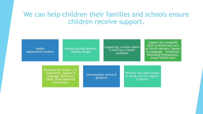### We can help children their families and schools ensure children receive support.

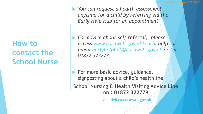**How to contact the School Nurse**   *You can request a health assessment anytime for a child by referring via the Early Help Hub for an appointment.*

 *For advice about self referral, please access [www.cornwall.gov.uk/early](http://www.cornwall.gov.uk/early) help, or email [earlyhelphub@cornwall.gov.uk](mailto:earlyhelphub@cornwall.gov.uk) or tel: 01872 322277.*

 $\blacktriangleright$  For more basic advice, guidance, signposting about a child's health the **School Nursing & Health Visiting Advice Line on : 01872 322779**

**[hvsnadvice@cornwall.gov.uk](mailto:hvsnadvice@cornwall.gov.uk)**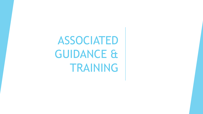ASSOCIATED GUIDANCE & TRAINING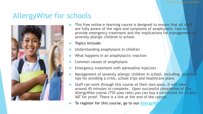# AllergyWise for schools



- This free online e-learning course is designed to ensure that all staff are fully aware of the signs and symptoms of anaphylaxis, how to provide emergency treatment and the implications for management of severely allergic children in school.
- **Topics include:**
- Understanding anaphylaxis in children
- What happens in an anaphylactic reaction
- Common causes of anaphylaxis
- Emergency treatment with adrenaline injectors
- Management of severely allergic children in school, including: practical tips for avoiding a crisis, school trips and healthcare plans
- Staff can work through this course at their own pace, it will take around 45 minutes to complete. Upon successful completion of this AllergyWise course (75% pass rate) you can buy a certificate for £5 plus VAT for proof. There is a link at the end of the course.
- **To register for this course, go to our AllergyWish**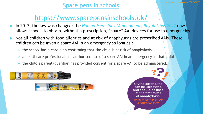#### Spare pens in schools

# <https://www.sparepensinschools.uk/>

- In 2017, the law was changed: the *[Human Medicines \(Amendment\) Regulations 2017](http://www.legislation.gov.uk/uksi/2017/715/contents/made)* now allows schools to obtain, without a prescription, "spare" AAI devices for use in emergencies.
- Not all children with food allergies and at risk of anaphylaxis are prescribed AAIs. These children *can* be given a spare AAI in an emergency so long as :
	- $\triangleq$  the school has a care plan confirming that the child is at risk of anaphylaxis
	- a healthcare professional has authorised use of a spare AAI in an emergency in that child
	- the child's parent/guardian has provided consent for a spare AAI to be administered.



Giving adrenaline can be lifesaving, and should be used at the first signs of anaphylaxis.

IF IN DOUBT, GIVE ADRENALINE.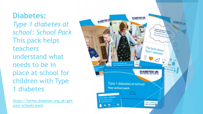**Diabetes:**  *Type 1 diabetes at school: School Pack* This pack helps teachers understand what needs to be in place at school for children with Type 1 diabetes

[https://forms.diabetes.org.uk/get](https://forms.diabetes.org.uk/get-your-schools-pack) your -schools -pack

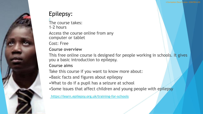#### Epilepsy:

[/](https://learn.epilepsy.org.uk/training-for-schools/) The course takes: 1-2 hours Access the course online from any computer or tablet

Cost: Free

#### **Course overview**

This free online course is designed for people working in schools. It gives you a basic introduction to epilepsy.

#### **Course aims**

Take this course if you want to know more about:

- •Basic facts and figures about epilepsy
- •What to do if a pupil has a seizure at school
- Some issues that affect children and young people with epilepsy

**[https://learn.epilepsy.org.uk/training-for-schools](https://learn.epilepsy.org.uk/training-for-schools/)**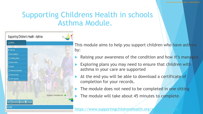# Supporting Childrens Health in schools Asthma Module.



This module aims to help you support children who have asthma by:

- Raising your awareness of the condition and how it's managed
- Exploring plans you may need to ensure that children with asthma in your care are supported
- At the end you will be able to download a certificate of completion for your records.
- The module does not need to be completed in one sitting
- The module will take about 45 minutes to complete.

https://www.supportingchildrenshealth.org/asthma-module-module-module-module-modu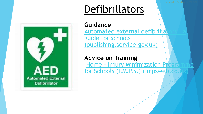# Defibrillators



**Guidance** Automated external defibrilla guide for schools (publishing.service.gov.uk)

#### **Advice on Training**

Home - Injury Minimization Prog for Schools (I.M.P.S.) (impsweb.co.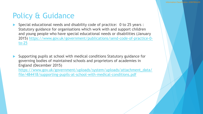# Policy & Guidance

- Special educational needs and disability code of practice: 0 to 25 years : Statutory guidance for organisations which work with and support children and young people who have special educational needs or disabilities (January 2015) [https://www.gov.uk/government/publications/send-code-of-practice-0](https://www.gov.uk/government/publications/send-code-of-practice-0-to-25) to-25
- Supporting pupils at school with medical conditions Statutory guidance for governing bodies of maintained schools and proprietors of academies in England (December 2015)

[https://www.gov.uk/government/uploads/system/uploads/attachment\\_data/](https://www.gov.uk/government/uploads/system/uploads/attachment_data/file/484418/supporting-pupils-at-school-with-medical-conditions.pdf) file/484418/supporting-pupils-at-school-with-medical-conditions.pdf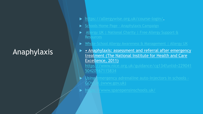# Anaphylaxis

- <https://allergywise.org.uk/course-login/>.
- Schools Home Page [Anaphylaxis Campaign](https://www.anaphylaxis.org.uk/schools/)
- Allergy UK | National Charity | Free Allergy Support & Resources
- [Whole-School Allergy Awareness & Management | Allergy UK](https://www.allergyuk.org/information-and-advice/for-schools/whole-school-allergy-awareness-management)
	- Anaphylaxis: assessment and referral after emergency treatment (The National Institute for Health and Care Excellence, 2011)

[https://www.nice.org.uk/guidance/cg134?unlid=229041](https://www.nice.org.uk/guidance/cg134?unlid=22904150420167115834) 50420167115834

- [Using emergency adrenaline auto-injectors in schools -](https://www.gov.uk/government/publications/using-emergency-adrenaline-auto-injectors-in-schools) GOV.UK (www.gov.uk)
- $\blacktriangleright$  <https://www.sparepensinschools.uk/>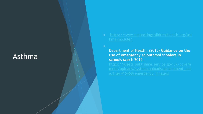# Asthma

Department of Health. (2015) **Guidance on the use of emergency salbutamol inhalers in schools** March 2015.

a/file/416468/emergency\_inhalers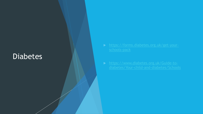# **Diabetes**

- 
-